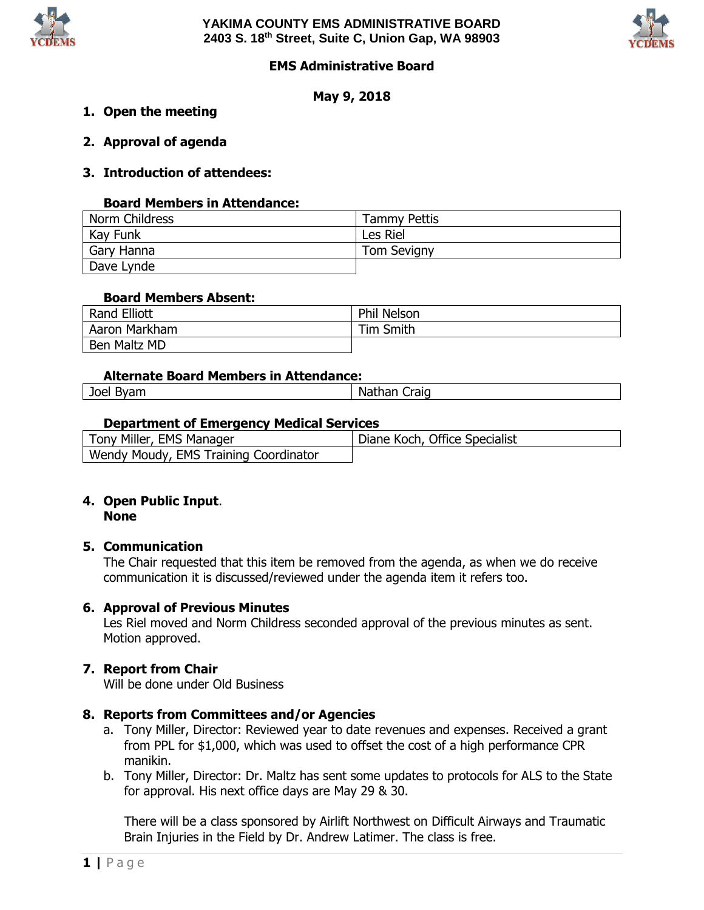



# **EMS Administrative Board**

**May 9, 2018**

- **1. Open the meeting**
- **2. Approval of agenda**

## **3. Introduction of attendees:**

#### **Board Members in Attendance:**

| Norm Childress | <b>Tammy Pettis</b> |
|----------------|---------------------|
| Kay Funk       | Les Riel            |
| Gary Hanna     | <b>Tom Sevigny</b>  |
| Dave Lynde     |                     |

#### **Board Members Absent:**

| <b>Rand Elliott</b> | Phil Nelson      |
|---------------------|------------------|
| Aaron Markham       | <b>Tim Smith</b> |
| Ben Maltz MD        |                  |

#### **Alternate Board Members in Attendance:**

| $\blacksquare$<br>$-$<br>JOCI .<br>,,,,<br>.ויש<br>-- | iraid<br>- Nat<br>на<br>___ |
|-------------------------------------------------------|-----------------------------|
|                                                       |                             |

## **Department of Emergency Medical Services**

| Tony Miller, EMS Manager              | Diane Koch, Office Specialist |
|---------------------------------------|-------------------------------|
| Wendy Moudy, EMS Training Coordinator |                               |

#### **4. Open Public Input**. **None**

#### **5. Communication**

The Chair requested that this item be removed from the agenda, as when we do receive communication it is discussed/reviewed under the agenda item it refers too.

#### **6. Approval of Previous Minutes**

Les Riel moved and Norm Childress seconded approval of the previous minutes as sent. Motion approved.

#### **7. Report from Chair**

Will be done under Old Business

# **8. Reports from Committees and/or Agencies**

- a. Tony Miller, Director: Reviewed year to date revenues and expenses. Received a grant from PPL for \$1,000, which was used to offset the cost of a high performance CPR manikin.
- b. Tony Miller, Director: Dr. Maltz has sent some updates to protocols for ALS to the State for approval. His next office days are May 29 & 30.

There will be a class sponsored by Airlift Northwest on Difficult Airways and Traumatic Brain Injuries in the Field by Dr. Andrew Latimer. The class is free.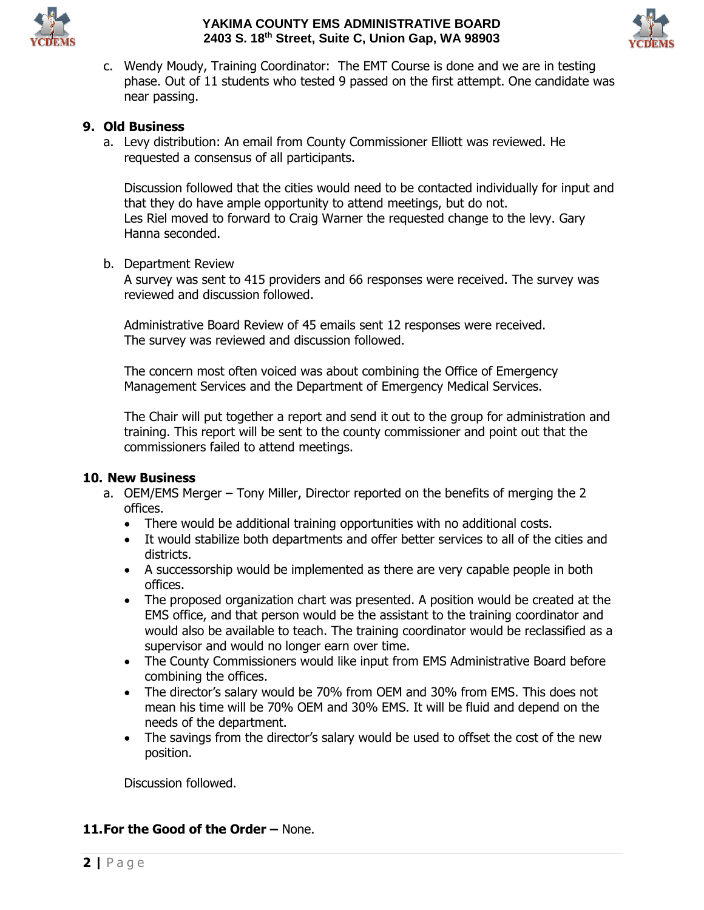

## **YAKIMA COUNTY EMS ADMINISTRATIVE BOARD 2403 S. 18th Street, Suite C, Union Gap, WA 98903**



c. Wendy Moudy, Training Coordinator: The EMT Course is done and we are in testing phase. Out of 11 students who tested 9 passed on the first attempt. One candidate was near passing.

# **9. Old Business**

a. Levy distribution: An email from County Commissioner Elliott was reviewed. He requested a consensus of all participants.

Discussion followed that the cities would need to be contacted individually for input and that they do have ample opportunity to attend meetings, but do not. Les Riel moved to forward to Craig Warner the requested change to the levy. Gary Hanna seconded.

b. Department Review

A survey was sent to 415 providers and 66 responses were received. The survey was reviewed and discussion followed.

Administrative Board Review of 45 emails sent 12 responses were received. The survey was reviewed and discussion followed.

The concern most often voiced was about combining the Office of Emergency Management Services and the Department of Emergency Medical Services.

The Chair will put together a report and send it out to the group for administration and training. This report will be sent to the county commissioner and point out that the commissioners failed to attend meetings.

## **10. New Business**

- a. OEM/EMS Merger Tony Miller, Director reported on the benefits of merging the 2 offices.
	- There would be additional training opportunities with no additional costs.
	- It would stabilize both departments and offer better services to all of the cities and districts.
	- A successorship would be implemented as there are very capable people in both offices.
	- The proposed organization chart was presented. A position would be created at the EMS office, and that person would be the assistant to the training coordinator and would also be available to teach. The training coordinator would be reclassified as a supervisor and would no longer earn over time.
	- The County Commissioners would like input from EMS Administrative Board before combining the offices.
	- The director's salary would be 70% from OEM and 30% from EMS. This does not mean his time will be 70% OEM and 30% EMS. It will be fluid and depend on the needs of the department.
	- The savings from the director's salary would be used to offset the cost of the new position.

Discussion followed.

# **11.For the Good of the Order –** None.